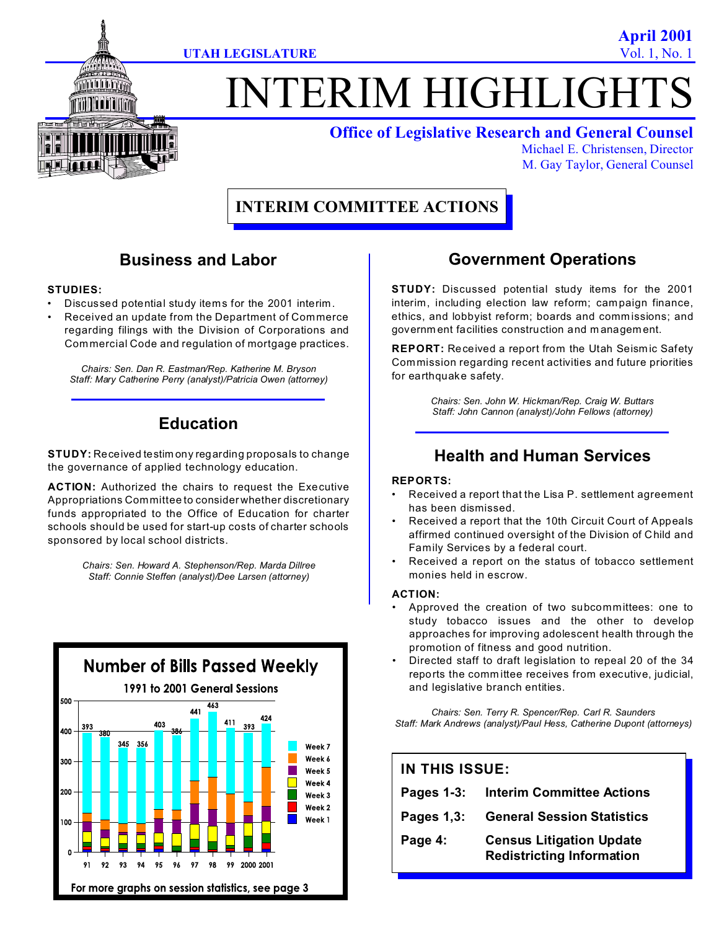

**April 2001**



# TERIM HIGHLIGHT

### **Office of Legislative Research and General Counsel**

Michael E. Christensen, Director M. Gay Taylor, General Counsel

# **INTERIM COMMITTEE ACTIONS**

## **Business and Labor**

#### **STUDIES:**

- Discussed potential study items for the 2001 interim.
- Received an update from the Department of Commerce regarding filings with the Division of Corporations and Commercial Code and regulation of mortgage practices.

*Chairs: Sen. Dan R. Eastman/Rep. Katherine M. Bryson Staff: Mary Catherine Perry (analyst)/Patricia Owen (attorney)*

# **Education**

**STUDY:** Received testim ony regarding proposals to change the governance of applied technology education.

**ACTION:** Authorized the chairs to request the Executive Appropriations Committee to consider whether discretionary funds appropriated to the Office of Education for charter schools should be used for start-up costs of charter schools sponsored by local school districts.

> *Chairs: Sen. Howard A. Stephenson/Rep. Marda Dillree Staff: Connie Steffen (analyst)/Dee Larsen (attorney)*



## **Government Operations**

**STUDY:** Discussed potential study items for the 2001 interim, including election law reform; campaign finance, ethics, and lobbyist reform; boards and comm issions; and governm ent facilities construction and m anagem ent.

**REPORT:** Received a report from the Utah Seism ic Safety Commission regarding recent activities and future priorities for earthquake safety.

> *Chairs: Sen. John W. Hickman/Rep. Craig W. Buttars Staff: John Cannon (analyst)/John Fellows (attorney)*

## **Health and Human Services**

#### **REPORTS:**

- Received a report that the Lisa P. settlement agreement has been dismissed.
- Received a report that the 10th Circuit Court of Appeals affirmed continued oversight of the Division of Child and Family Services by a federal court.
- Received a report on the status of tobacco settlement monies held in escrow.

#### **ACTION:**

- Approved the creation of two subcommittees: one to study tobacco issues and the other to develop approaches for improving adolescent health through the promotion of fitness and good nutrition.
- Directed staff to draft legislation to repeal 20 of the 34 reports the comm ittee receives from executive, judicial, and legislative branch entities.

*Chairs: Sen. Terry R. Spencer/Rep. Carl R. Saunders Staff: Mark Andrews (analyst)/Paul Hess, Catherine Dupont (attorneys)*

| IN THIS ISSUE: |                                                                     |
|----------------|---------------------------------------------------------------------|
| Pages $1-3$ :  | <b>Interim Committee Actions</b>                                    |
| Pages 1,3:     | <b>General Session Statistics</b>                                   |
| Page 4:        | <b>Census Litigation Update</b><br><b>Redistricting Information</b> |
|                |                                                                     |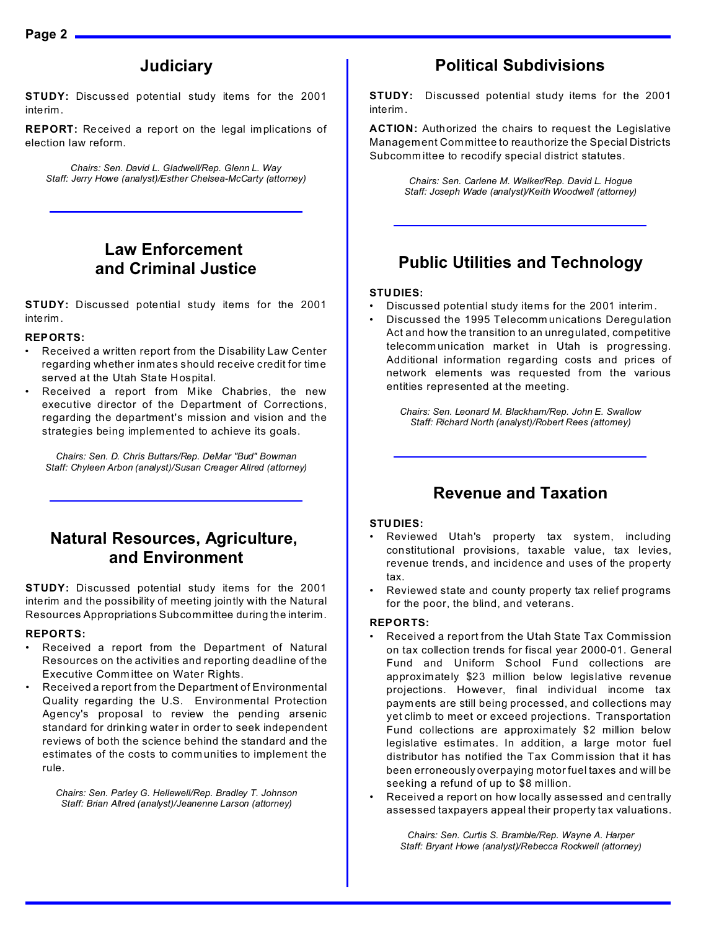## **Judiciary**

**STUDY:** Discussed potential study items for the 2001 interim.

**REPORT:** Received a report on the legal im plications of election law reform.

*Chairs: Sen. David L. Gladwell/Rep. Glenn L. Way Staff: Jerry Howe (analyst)/Esther Chelsea-McCarty (attorney)*

## **Law Enforcement and Criminal Justice**

**STUDY:** Discussed potential study items for the 2001 interim.

#### **REPORTS:**

- Received a written report from the Disability Law Center regarding whether inm ates should receive credit for time served at the Utah State Hospital.
- Received a report from Mike Chabries, the new executive director of the Department of Corrections, regarding the department's mission and vision and the strategies being implemented to achieve its goals.

*Chairs: Sen. D. Chris Buttars/Rep. DeMar "Bud" Bowman Staff: Chyleen Arbon (analyst)/Susan Creager Allred (attorney)*

## **Natural Resources, Agriculture, and Environment**

**STUDY:** Discussed potential study items for the 2001 interim and the possibility of meeting jointly with the Natural Resources Appropriations Subcommittee during the interim.

#### **REPORTS:**

- Received a report from the Department of Natural Resources on the activities and reporting deadline of the Executive Comm ittee on Water Rights.
- Received a report from the Department of Environmental Quality regarding the U.S. Environmental Protection Agency's proposal to review the pending arsenic standard for drinking water in order to seek independent reviews of both the science behind the standard and the estimates of the costs to comm unities to implement the rule.

*Chairs: Sen. Parley G. Hellewell/Rep. Bradley T. Johnson Staff: Brian Allred (analyst)/Jeanenne Larson (attorney)*

## **Political Subdivisions**

**STUDY:** Discussed potential study items for the 2001 interim.

**ACTION:** Authorized the chairs to request the Legislative Management Committee to reauthorize the Special Districts Subcomm ittee to recodify special district statutes.

> *Chairs: Sen. Carlene M. Walker/Rep. David L. Hogue Staff: Joseph Wade (analyst)/Keith Woodwell (attorney)*

## **Public Utilities and Technology**

#### **STUDIES:**

- Discussed potential study items for the 2001 interim.
- Discussed the 1995 Telecomm unications Deregulation Act and how the transition to an unregulated, competitive telecomm unication market in Utah is progressing. Additional information regarding costs and prices of network elements was requested from the various entities represented at the meeting.

*Chairs: Sen. Leonard M. Blackham/Rep. John E. Swallow Staff: Richard North (analyst)/Robert Rees (attorney)*

## **Revenue and Taxation**

#### **STUDIES:**

- Reviewed Utah's property tax system, including constitutional provisions, taxable value, tax levies, revenue trends, and incidence and uses of the property tax.
- Reviewed state and county property tax relief programs for the poor, the blind, and veterans.

#### **REPORTS:**

- Received a report from the Utah State Tax Commission on tax collection trends for fiscal year 2000-01. General Fund and Uniform School Fund collections are approximately \$23 m illion below legislative revenue projections. However, final individual income tax paym ents are still being processed, and collections may yet climb to meet or exceed projections. Transportation Fund collections are approximately \$2 million below legislative estimates. In addition, a large motor fuel distributor has notified the Tax Commission that it has been erroneously overpaying motor fuel taxes and will be seeking a refund of up to \$8 million.
- Received a report on how locally assessed and centrally assessed taxpayers appeal their property tax valuations.

*Chairs: Sen. Curtis S. Bramble/Rep. Wayne A. Harper Staff: Bryant Howe (analyst)/Rebecca Rockwell (attorney)*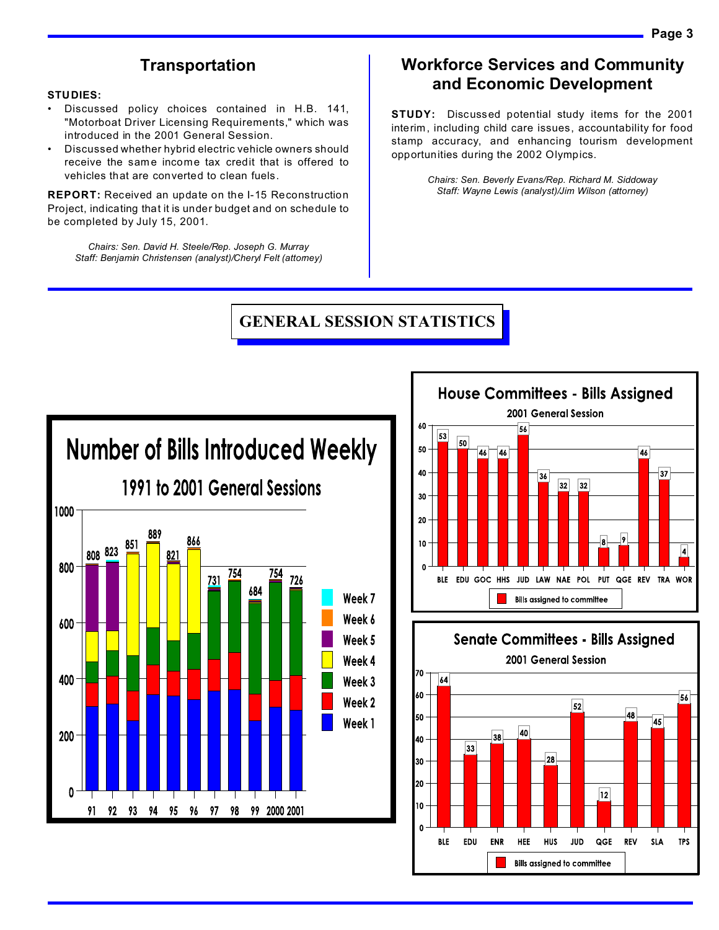## **Transportation**

#### **STUDIES:**

- Discussed policy choices contained in H.B. 141, "Motorboat Driver Licensing Requirements," which was introduced in the 2001 General Session.
- Discussed whether hybrid electric vehicle owners should receive the same income tax credit that is offered to vehicles that are converted to clean fuels.

**REPORT:** Received an update on the I-15 Reconstruction Project, indicating that it is under budget and on schedule to be completed by July 15, 2001.

*Chairs: Sen. David H. Steele/Rep. Joseph G. Murray Staff: Benjamin Christensen (analyst)/Cheryl Felt (attorney)*

## **Workforce Services and Community and Economic Development**

**STUDY:** Discussed potential study items for the 2001 interim, including child care issues, accountability for food stamp accuracy, and enhancing tourism development opportunities during the 2002 Olympics.

> *Chairs: Sen. Beverly Evans/Rep. Richard M. Siddoway Staff: Wayne Lewis (analyst)/Jim Wilson (attorney)*

## **GENERAL SESSION STATISTICS**